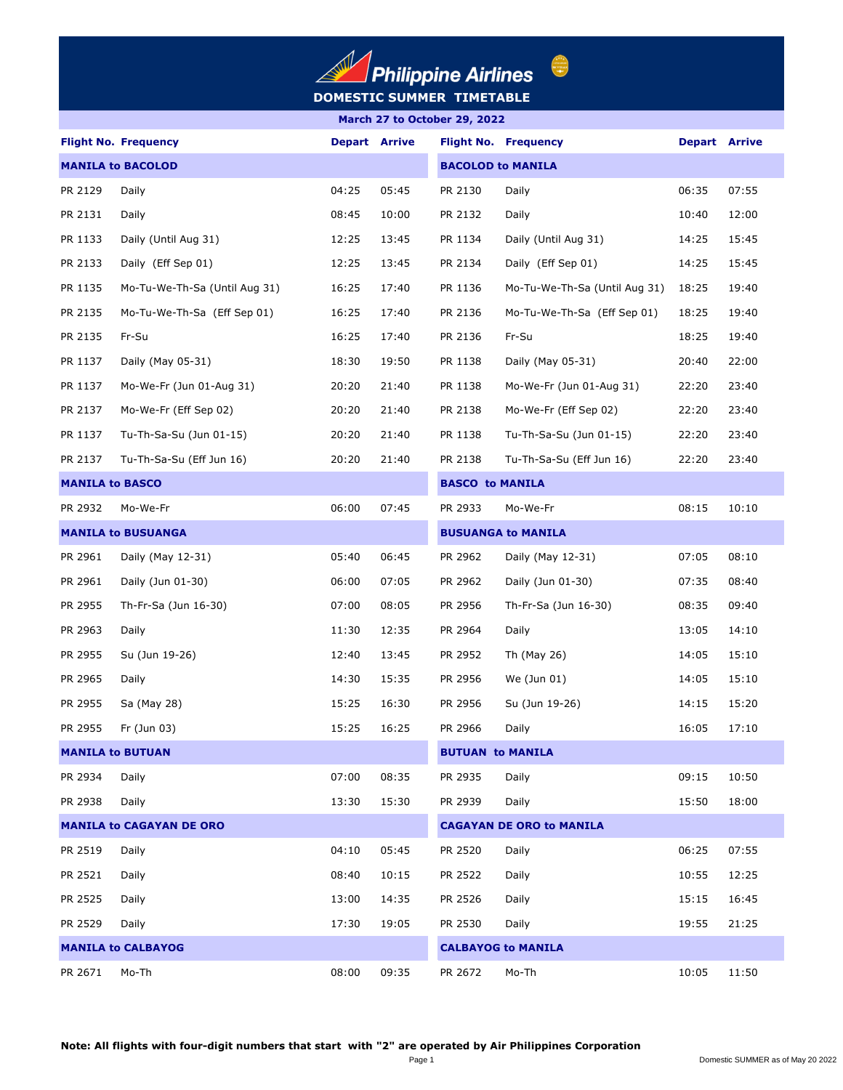

## **March 27 to October 29, 2022**

|         | <b>Flight No. Frequency</b>     | <b>Depart Arrive</b>     |       |                           | <b>Flight No. Frequency</b>     | <b>Depart Arrive</b> |       |  |  |
|---------|---------------------------------|--------------------------|-------|---------------------------|---------------------------------|----------------------|-------|--|--|
|         | <b>MANILA to BACOLOD</b>        | <b>BACOLOD to MANILA</b> |       |                           |                                 |                      |       |  |  |
| PR 2129 | Daily                           | 04:25                    | 05:45 | PR 2130                   | Daily                           | 06:35                | 07:55 |  |  |
| PR 2131 | Daily                           | 08:45                    | 10:00 | PR 2132                   | Daily                           | 10:40                | 12:00 |  |  |
| PR 1133 | Daily (Until Aug 31)            | 12:25                    | 13:45 | PR 1134                   | Daily (Until Aug 31)            | 14:25                | 15:45 |  |  |
| PR 2133 | Daily (Eff Sep 01)              | 12:25                    | 13:45 | PR 2134                   | Daily (Eff Sep 01)              | 14:25                | 15:45 |  |  |
| PR 1135 | Mo-Tu-We-Th-Sa (Until Aug 31)   | 16:25                    | 17:40 | PR 1136                   | Mo-Tu-We-Th-Sa (Until Aug 31)   | 18:25                | 19:40 |  |  |
| PR 2135 | Mo-Tu-We-Th-Sa (Eff Sep 01)     | 16:25                    | 17:40 | PR 2136                   | Mo-Tu-We-Th-Sa (Eff Sep 01)     | 18:25                | 19:40 |  |  |
| PR 2135 | Fr-Su                           | 16:25                    | 17:40 | PR 2136                   | Fr-Su                           | 18:25                | 19:40 |  |  |
| PR 1137 | Daily (May 05-31)               | 18:30                    | 19:50 | PR 1138                   | Daily (May 05-31)               | 20:40                | 22:00 |  |  |
| PR 1137 | Mo-We-Fr (Jun 01-Aug 31)        | 20:20                    | 21:40 | PR 1138                   | Mo-We-Fr (Jun 01-Aug 31)        | 22:20                | 23:40 |  |  |
| PR 2137 | Mo-We-Fr (Eff Sep 02)           | 20:20                    | 21:40 | PR 2138                   | Mo-We-Fr (Eff Sep 02)           | 22:20                | 23:40 |  |  |
| PR 1137 | Tu-Th-Sa-Su (Jun 01-15)         | 20:20                    | 21:40 | PR 1138                   | Tu-Th-Sa-Su (Jun 01-15)         | 22:20                | 23:40 |  |  |
| PR 2137 | Tu-Th-Sa-Su (Eff Jun 16)        | 20:20                    | 21:40 | PR 2138                   | Tu-Th-Sa-Su (Eff Jun 16)        | 22:20                | 23:40 |  |  |
|         | <b>MANILA to BASCO</b>          |                          |       | <b>BASCO to MANILA</b>    |                                 |                      |       |  |  |
| PR 2932 | Mo-We-Fr                        | 06:00                    | 07:45 | PR 2933                   | Mo-We-Fr                        | 08:15                | 10:10 |  |  |
|         | <b>MANILA to BUSUANGA</b>       |                          |       | <b>BUSUANGA to MANILA</b> |                                 |                      |       |  |  |
| PR 2961 | Daily (May 12-31)               | 05:40                    | 06:45 | PR 2962                   | Daily (May 12-31)               | 07:05                | 08:10 |  |  |
| PR 2961 | Daily (Jun 01-30)               | 06:00                    | 07:05 | PR 2962                   | Daily (Jun 01-30)               | 07:35                | 08:40 |  |  |
| PR 2955 | Th-Fr-Sa (Jun 16-30)            | 07:00                    | 08:05 | PR 2956                   | Th-Fr-Sa (Jun 16-30)            | 08:35                | 09:40 |  |  |
| PR 2963 | Daily                           | 11:30                    | 12:35 | PR 2964                   | Daily                           | 13:05                | 14:10 |  |  |
| PR 2955 | Su (Jun 19-26)                  | 12:40                    | 13:45 | PR 2952                   | Th (May 26)                     | 14:05                | 15:10 |  |  |
| PR 2965 | Daily                           | 14:30                    | 15:35 | PR 2956                   | We (Jun 01)                     | 14:05                | 15:10 |  |  |
| PR 2955 | Sa (May 28)                     | 15:25                    | 16:30 | PR 2956                   | Su (Jun 19-26)                  | 14:15                | 15:20 |  |  |
| PR 2955 | Fr (Jun 03)                     | 15:25                    | 16:25 | PR 2966                   | Daily                           | 16:05                | 17:10 |  |  |
|         | <b>MANILA to BUTUAN</b>         |                          |       | <b>BUTUAN to MANILA</b>   |                                 |                      |       |  |  |
| PR 2934 | Daily                           | 07:00                    | 08:35 | PR 2935                   | Daily                           | 09:15                | 10:50 |  |  |
| PR 2938 | Daily                           | 13:30                    | 15:30 | PR 2939                   | Daily                           | 15:50                | 18:00 |  |  |
|         | <b>MANILA to CAGAYAN DE ORO</b> |                          |       |                           | <b>CAGAYAN DE ORO to MANILA</b> |                      |       |  |  |
| PR 2519 | Daily                           | 04:10                    | 05:45 | PR 2520                   | Daily                           | 06:25                | 07:55 |  |  |
| PR 2521 | Daily                           | 08:40                    | 10:15 | PR 2522                   | Daily                           | 10:55                | 12:25 |  |  |
| PR 2525 | Daily                           | 13:00                    | 14:35 | PR 2526                   | Daily                           | 15:15                | 16:45 |  |  |
| PR 2529 | Daily                           | 17:30                    | 19:05 | PR 2530                   | Daily                           | 19:55                | 21:25 |  |  |
|         | <b>MANILA to CALBAYOG</b>       |                          |       |                           | <b>CALBAYOG to MANILA</b>       |                      |       |  |  |
| PR 2671 | Mo-Th                           | 08:00                    | 09:35 | PR 2672                   | Mo-Th                           | 10:05                | 11:50 |  |  |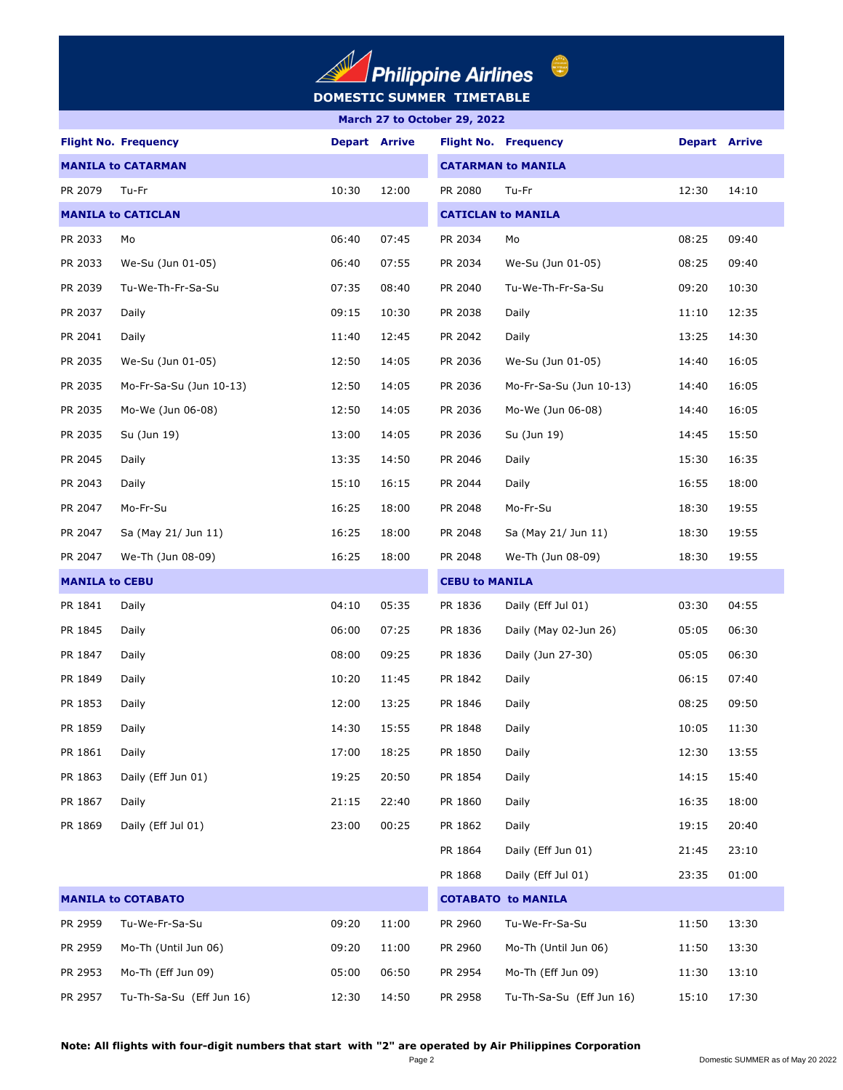

|  | March 27 to October 29, 2022 |  |
|--|------------------------------|--|

|                           | <b>Flight No. Frequency</b> |       | <b>Depart Arrive</b>      |                       | <b>Flight No. Frequency</b> | <b>Depart Arrive</b> |       |
|---------------------------|-----------------------------|-------|---------------------------|-----------------------|-----------------------------|----------------------|-------|
| <b>MANILA to CATARMAN</b> |                             |       | <b>CATARMAN to MANILA</b> |                       |                             |                      |       |
| PR 2079                   | Tu-Fr                       | 10:30 | 12:00                     | PR 2080               | Tu-Fr                       | 12:30                | 14:10 |
|                           | <b>MANILA to CATICLAN</b>   |       |                           |                       | <b>CATICLAN to MANILA</b>   |                      |       |
| PR 2033                   | Mo                          | 06:40 | 07:45                     | PR 2034               | Mo                          | 08:25                | 09:40 |
| PR 2033                   | We-Su (Jun 01-05)           | 06:40 | 07:55                     | PR 2034               | We-Su (Jun 01-05)           | 08:25                | 09:40 |
| PR 2039                   | Tu-We-Th-Fr-Sa-Su           | 07:35 | 08:40                     | PR 2040               | Tu-We-Th-Fr-Sa-Su           | 09:20                | 10:30 |
| PR 2037                   | Daily                       | 09:15 | 10:30                     | PR 2038               | Daily                       | 11:10                | 12:35 |
| PR 2041                   | Daily                       | 11:40 | 12:45                     | PR 2042               | Daily                       | 13:25                | 14:30 |
| PR 2035                   | We-Su (Jun 01-05)           | 12:50 | 14:05                     | PR 2036               | We-Su (Jun 01-05)           | 14:40                | 16:05 |
| PR 2035                   | Mo-Fr-Sa-Su (Jun 10-13)     | 12:50 | 14:05                     | PR 2036               | Mo-Fr-Sa-Su (Jun 10-13)     | 14:40                | 16:05 |
| PR 2035                   | Mo-We (Jun 06-08)           | 12:50 | 14:05                     | PR 2036               | Mo-We (Jun 06-08)           | 14:40                | 16:05 |
| PR 2035                   | Su (Jun 19)                 | 13:00 | 14:05                     | PR 2036               | Su (Jun 19)                 | 14:45                | 15:50 |
| PR 2045                   | Daily                       | 13:35 | 14:50                     | PR 2046               | Daily                       | 15:30                | 16:35 |
| PR 2043                   | Daily                       | 15:10 | 16:15                     | PR 2044               | Daily                       | 16:55                | 18:00 |
| PR 2047                   | Mo-Fr-Su                    | 16:25 | 18:00                     | PR 2048               | Mo-Fr-Su                    | 18:30                | 19:55 |
| PR 2047                   | Sa (May 21/ Jun 11)         | 16:25 | 18:00                     | PR 2048               | Sa (May 21/ Jun 11)         | 18:30                | 19:55 |
| PR 2047                   | We-Th (Jun 08-09)           | 16:25 | 18:00                     | PR 2048               | We-Th (Jun 08-09)           | 18:30                | 19:55 |
| <b>MANILA to CEBU</b>     |                             |       |                           | <b>CEBU to MANILA</b> |                             |                      |       |
| PR 1841                   | Daily                       | 04:10 | 05:35                     | PR 1836               | Daily (Eff Jul 01)          | 03:30                | 04:55 |
| PR 1845                   | Daily                       | 06:00 | 07:25                     | PR 1836               | Daily (May 02-Jun 26)       | 05:05                | 06:30 |
| PR 1847                   | Daily                       | 08:00 | 09:25                     | PR 1836               | Daily (Jun 27-30)           | 05:05                | 06:30 |
| PR 1849                   | Daily                       | 10:20 | 11:45                     | PR 1842               | Daily                       | 06:15                | 07:40 |
| PR 1853                   | Daily                       | 12:00 | 13:25                     | PR 1846               | Daily                       | 08:25                | 09:50 |
| PR 1859                   | Daily                       | 14:30 | 15:55                     | PR 1848               | Daily                       | 10:05                | 11:30 |
| PR 1861                   | Daily                       | 17:00 | 18:25                     | PR 1850               | Daily                       | 12:30                | 13:55 |
| PR 1863                   | Daily (Eff Jun 01)          | 19:25 | 20:50                     | PR 1854               | Daily                       | 14:15                | 15:40 |
| PR 1867                   | Daily                       | 21:15 | 22:40                     | PR 1860               | Daily                       | 16:35                | 18:00 |
| PR 1869                   | Daily (Eff Jul 01)          | 23:00 | 00:25                     | PR 1862               | Daily                       | 19:15                | 20:40 |
|                           |                             |       |                           | PR 1864               | Daily (Eff Jun 01)          | 21:45                | 23:10 |
|                           |                             |       |                           | PR 1868               | Daily (Eff Jul 01)          | 23:35                | 01:00 |
|                           | <b>MANILA to COTABATO</b>   |       |                           |                       | <b>COTABATO to MANILA</b>   |                      |       |
| PR 2959                   | Tu-We-Fr-Sa-Su              | 09:20 | 11:00                     | PR 2960               | Tu-We-Fr-Sa-Su              | 11:50                | 13:30 |
| PR 2959                   | Mo-Th (Until Jun 06)        | 09:20 | 11:00                     | PR 2960               | Mo-Th (Until Jun 06)        | 11:50                | 13:30 |
| PR 2953                   | Mo-Th (Eff Jun 09)          | 05:00 | 06:50                     | PR 2954               | Mo-Th (Eff Jun 09)          | 11:30                | 13:10 |
| PR 2957                   | Tu-Th-Sa-Su (Eff Jun 16)    | 12:30 | 14:50                     | PR 2958               | Tu-Th-Sa-Su (Eff Jun 16)    | 15:10                | 17:30 |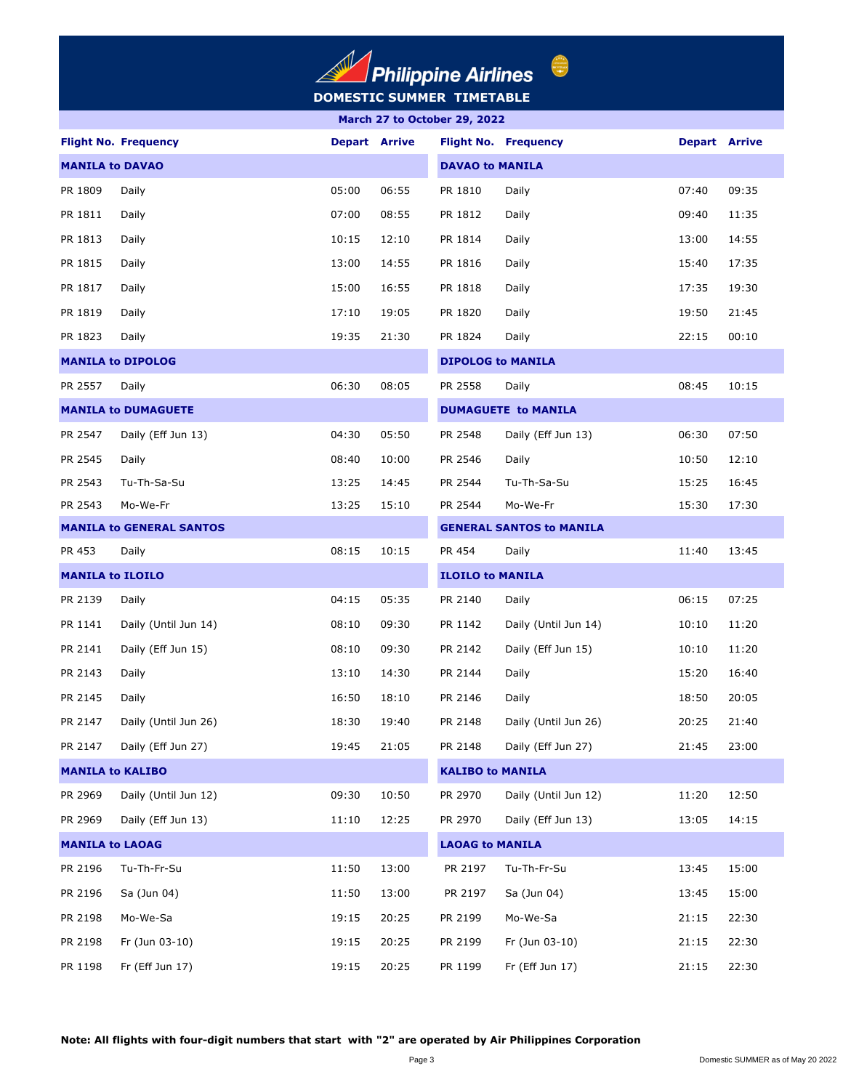## **DOMESTIC SUMMER TIMETABLE**  $\Delta$

| March 27 to October 29, 2022 |                                 |       |                      |                         |                                 |                      |       |  |  |
|------------------------------|---------------------------------|-------|----------------------|-------------------------|---------------------------------|----------------------|-------|--|--|
|                              | <b>Flight No. Frequency</b>     |       | <b>Depart Arrive</b> |                         | <b>Flight No. Frequency</b>     | <b>Depart Arrive</b> |       |  |  |
| <b>MANILA to DAVAO</b>       |                                 |       |                      | <b>DAVAO to MANILA</b>  |                                 |                      |       |  |  |
| PR 1809                      | Daily                           | 05:00 | 06:55                | PR 1810                 | Daily                           | 07:40                | 09:35 |  |  |
| PR 1811                      | Daily                           | 07:00 | 08:55                | PR 1812                 | Daily                           | 09:40                | 11:35 |  |  |
| PR 1813                      | Daily                           | 10:15 | 12:10                | PR 1814                 | Daily                           | 13:00                | 14:55 |  |  |
| PR 1815                      | Daily                           | 13:00 | 14:55                | PR 1816                 | Daily                           | 15:40                | 17:35 |  |  |
| PR 1817                      | Daily                           | 15:00 | 16:55                | PR 1818                 | Daily                           | 17:35                | 19:30 |  |  |
| PR 1819                      | Daily                           | 17:10 | 19:05                | PR 1820                 | Daily                           | 19:50                | 21:45 |  |  |
| PR 1823                      | Daily                           | 19:35 | 21:30                | PR 1824                 | Daily                           | 22:15                | 00:10 |  |  |
|                              | <b>MANILA to DIPOLOG</b>        |       |                      |                         | <b>DIPOLOG to MANILA</b>        |                      |       |  |  |
| PR 2557                      | Daily                           | 06:30 | 08:05                | PR 2558                 | Daily                           | 08:45                | 10:15 |  |  |
|                              | <b>MANILA to DUMAGUETE</b>      |       |                      |                         | <b>DUMAGUETE to MANILA</b>      |                      |       |  |  |
| PR 2547                      | Daily (Eff Jun 13)              | 04:30 | 05:50                | PR 2548                 | Daily (Eff Jun 13)              | 06:30                | 07:50 |  |  |
| PR 2545                      | Daily                           | 08:40 | 10:00                | PR 2546                 | Daily                           | 10:50                | 12:10 |  |  |
| PR 2543                      | Tu-Th-Sa-Su                     | 13:25 | 14:45                | PR 2544                 | Tu-Th-Sa-Su                     | 15:25                | 16:45 |  |  |
| PR 2543                      | Mo-We-Fr                        | 13:25 | 15:10                | PR 2544                 | Mo-We-Fr                        | 15:30                | 17:30 |  |  |
|                              | <b>MANILA to GENERAL SANTOS</b> |       |                      |                         | <b>GENERAL SANTOS to MANILA</b> |                      |       |  |  |
| PR 453                       | Daily                           | 08:15 | 10:15                | PR 454                  | Daily                           | 11:40                | 13:45 |  |  |
| <b>MANILA to ILOILO</b>      |                                 |       |                      | <b>ILOILO to MANILA</b> |                                 |                      |       |  |  |
| PR 2139                      | Daily                           | 04:15 | 05:35                | PR 2140                 | Daily                           | 06:15                | 07:25 |  |  |
| PR 1141                      | Daily (Until Jun 14)            | 08:10 | 09:30                | PR 1142                 | Daily (Until Jun 14)            | 10:10                | 11:20 |  |  |
| PR 2141                      | Daily (Eff Jun 15)              | 08:10 | 09:30                | PR 2142                 | Daily (Eff Jun 15)              | 10:10                | 11:20 |  |  |
| PR 2143                      | Daily                           | 13:10 | 14:30                | PR 2144                 | Daily                           | 15:20                | 16:40 |  |  |
| PR 2145                      | Daily                           | 16:50 | 18:10                | PR 2146                 | Daily                           | 18:50                | 20:05 |  |  |
| PR 2147                      | Daily (Until Jun 26)            | 18:30 | 19:40                | PR 2148                 | Daily (Until Jun 26)            | 20:25                | 21:40 |  |  |
| PR 2147                      | Daily (Eff Jun 27)              | 19:45 | 21:05                | PR 2148                 | Daily (Eff Jun 27)              | 21:45                | 23:00 |  |  |
|                              | <b>MANILA to KALIBO</b>         |       |                      | <b>KALIBO to MANILA</b> |                                 |                      |       |  |  |
| PR 2969                      | Daily (Until Jun 12)            | 09:30 | 10:50                | PR 2970                 | Daily (Until Jun 12)            | 11:20                | 12:50 |  |  |
| PR 2969                      | Daily (Eff Jun 13)              | 11:10 | 12:25                | PR 2970                 | Daily (Eff Jun 13)              | 13:05                | 14:15 |  |  |
| <b>MANILA to LAOAG</b>       |                                 |       |                      | <b>LAOAG to MANILA</b>  |                                 |                      |       |  |  |
| PR 2196                      | Tu-Th-Fr-Su                     | 11:50 | 13:00                | PR 2197                 | Tu-Th-Fr-Su                     | 13:45                | 15:00 |  |  |
| PR 2196                      | Sa (Jun 04)                     | 11:50 | 13:00                | PR 2197                 | Sa (Jun 04)                     | 13:45                | 15:00 |  |  |
| PR 2198                      | Mo-We-Sa                        | 19:15 | 20:25                | PR 2199                 | Mo-We-Sa                        | 21:15                | 22:30 |  |  |
| PR 2198                      | Fr (Jun 03-10)                  | 19:15 | 20:25                | PR 2199                 | Fr (Jun 03-10)                  | 21:15                | 22:30 |  |  |
| PR 1198                      | Fr (Eff Jun 17)                 | 19:15 | 20:25                | PR 1199                 | Fr (Eff Jun 17)                 | 21:15                | 22:30 |  |  |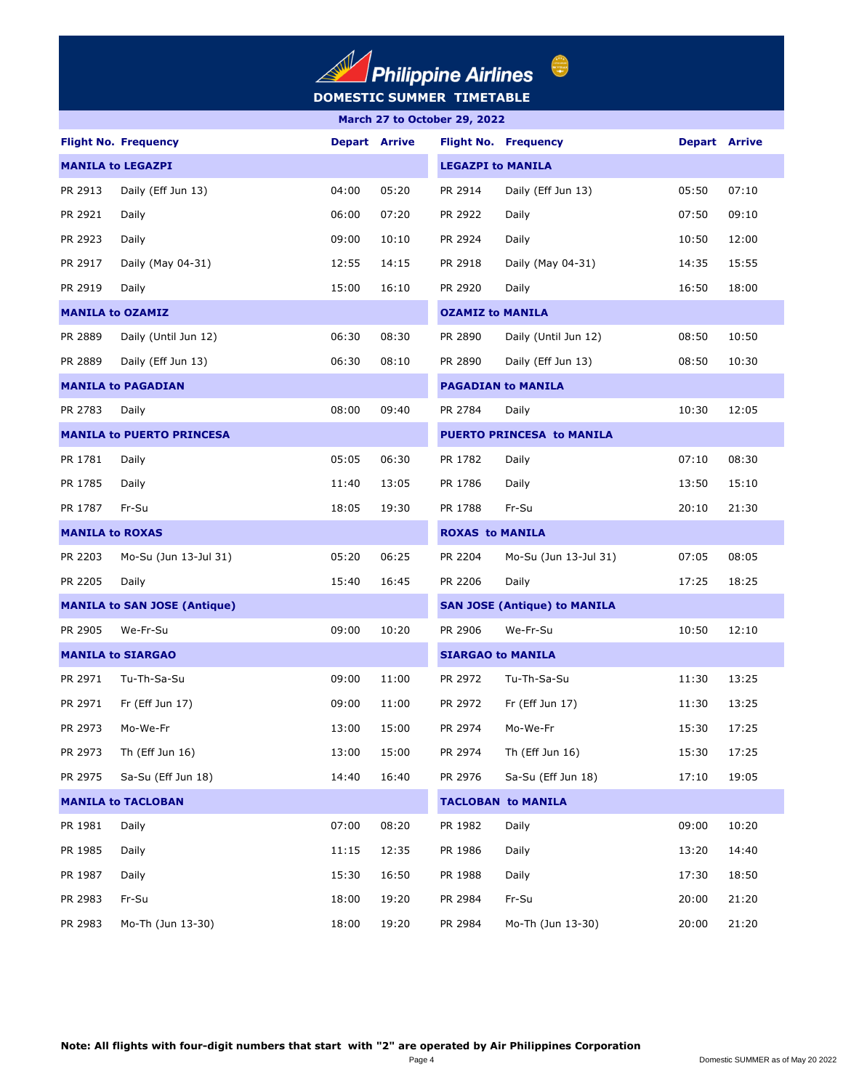## **DOMESTIC SUMMER TIMETABLE**  $\left(\frac{1}{2}\right)$

| March 27 to October 29, 2022 |                                     |       |                      |                         |                                     |                      |       |  |  |  |
|------------------------------|-------------------------------------|-------|----------------------|-------------------------|-------------------------------------|----------------------|-------|--|--|--|
|                              | <b>Flight No. Frequency</b>         |       | <b>Depart Arrive</b> |                         | <b>Flight No. Frequency</b>         | <b>Depart Arrive</b> |       |  |  |  |
| <b>MANILA to LEGAZPI</b>     |                                     |       |                      |                         | <b>LEGAZPI to MANILA</b>            |                      |       |  |  |  |
| PR 2913                      | Daily (Eff Jun 13)                  | 04:00 | 05:20                | PR 2914                 | Daily (Eff Jun 13)                  | 05:50                | 07:10 |  |  |  |
| PR 2921                      | Daily                               | 06:00 | 07:20                | PR 2922                 | Daily                               | 07:50                | 09:10 |  |  |  |
| PR 2923                      | Daily                               | 09:00 | 10:10                | PR 2924                 | Daily                               | 10:50                | 12:00 |  |  |  |
| PR 2917                      | Daily (May 04-31)                   | 12:55 | 14:15                | PR 2918                 | Daily (May 04-31)                   | 14:35                | 15:55 |  |  |  |
| PR 2919                      | Daily                               | 15:00 | 16:10                | PR 2920                 | Daily                               | 16:50                | 18:00 |  |  |  |
|                              | <b>MANILA to OZAMIZ</b>             |       |                      | <b>OZAMIZ to MANILA</b> |                                     |                      |       |  |  |  |
| PR 2889                      | Daily (Until Jun 12)                | 06:30 | 08:30                | PR 2890                 | Daily (Until Jun 12)                | 08:50                | 10:50 |  |  |  |
| PR 2889                      | Daily (Eff Jun 13)                  | 06:30 | 08:10                | PR 2890                 | Daily (Eff Jun 13)                  | 08:50                | 10:30 |  |  |  |
|                              | <b>MANILA to PAGADIAN</b>           |       |                      |                         | <b>PAGADIAN to MANILA</b>           |                      |       |  |  |  |
| PR 2783                      | Daily                               | 08:00 | 09:40                | PR 2784                 | Daily                               | 10:30                | 12:05 |  |  |  |
|                              | <b>MANILA to PUERTO PRINCESA</b>    |       |                      |                         | <b>PUERTO PRINCESA to MANILA</b>    |                      |       |  |  |  |
| PR 1781                      | Daily                               | 05:05 | 06:30                | PR 1782                 | Daily                               | 07:10                | 08:30 |  |  |  |
| PR 1785                      | Daily                               | 11:40 | 13:05                | PR 1786                 | Daily                               | 13:50                | 15:10 |  |  |  |
| PR 1787                      | Fr-Su                               | 18:05 | 19:30                | PR 1788                 | Fr-Su                               | 20:10                | 21:30 |  |  |  |
|                              | <b>MANILA to ROXAS</b>              |       |                      | <b>ROXAS to MANILA</b>  |                                     |                      |       |  |  |  |
| PR 2203                      | Mo-Su (Jun 13-Jul 31)               | 05:20 | 06:25                | PR 2204                 | Mo-Su (Jun 13-Jul 31)               | 07:05                | 08:05 |  |  |  |
| PR 2205                      | Daily                               | 15:40 | 16:45                | PR 2206                 | Daily                               | 17:25                | 18:25 |  |  |  |
|                              | <b>MANILA to SAN JOSE (Antique)</b> |       |                      |                         | <b>SAN JOSE (Antique) to MANILA</b> |                      |       |  |  |  |
| PR 2905                      | We-Fr-Su                            | 09:00 | 10:20                | PR 2906                 | We-Fr-Su                            | 10:50                | 12:10 |  |  |  |
|                              | <b>MANILA to SIARGAO</b>            |       |                      |                         | <b>SIARGAO to MANILA</b>            |                      |       |  |  |  |
| PR 2971                      | Tu-Th-Sa-Su                         | 09:00 | 11:00                | PR 2972                 | Tu-Th-Sa-Su                         | 11:30                | 13:25 |  |  |  |
| PR 2971                      | Fr (Eff Jun 17)                     | 09:00 | 11:00                | PR 2972                 | Fr (Eff Jun 17)                     | 11:30                | 13:25 |  |  |  |
| PR 2973                      | Mo-We-Fr                            | 13:00 | 15:00                | PR 2974                 | Mo-We-Fr                            | 15:30                | 17:25 |  |  |  |
| PR 2973                      | Th (Eff Jun 16)                     | 13:00 | 15:00                | PR 2974                 | Th (Eff Jun 16)                     | 15:30                | 17:25 |  |  |  |
| PR 2975                      | Sa-Su (Eff Jun 18)                  | 14:40 | 16:40                | PR 2976                 | Sa-Su (Eff Jun 18)                  | 17:10                | 19:05 |  |  |  |
|                              | <b>MANILA to TACLOBAN</b>           |       |                      |                         | <b>TACLOBAN to MANILA</b>           |                      |       |  |  |  |
| PR 1981                      | Daily                               | 07:00 | 08:20                | PR 1982                 | Daily                               | 09:00                | 10:20 |  |  |  |
| PR 1985                      | Daily                               | 11:15 | 12:35                | PR 1986                 | Daily                               | 13:20                | 14:40 |  |  |  |
| PR 1987                      | Daily                               | 15:30 | 16:50                | PR 1988                 | Daily                               | 17:30                | 18:50 |  |  |  |
| PR 2983                      | Fr-Su                               | 18:00 | 19:20                | PR 2984                 | Fr-Su                               | 20:00                | 21:20 |  |  |  |
| PR 2983                      | Mo-Th (Jun 13-30)                   | 18:00 | 19:20                | PR 2984                 | Mo-Th (Jun 13-30)                   | 20:00                | 21:20 |  |  |  |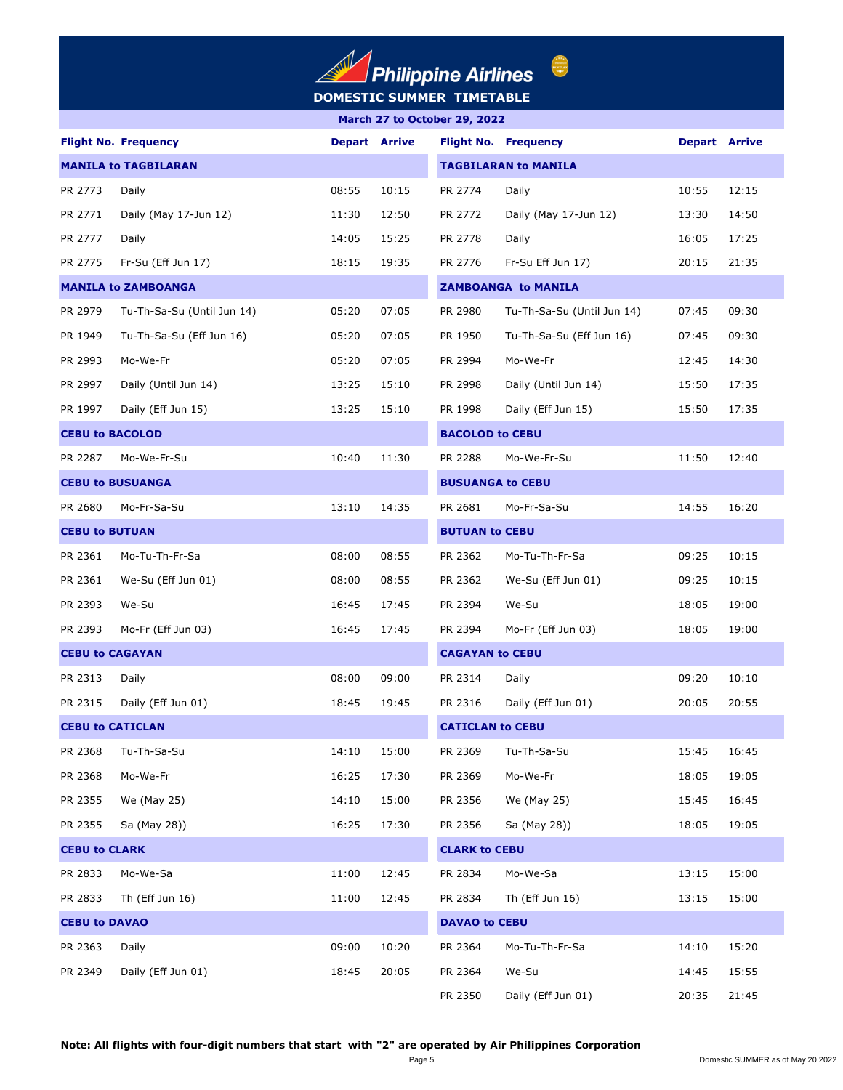

| March 27 to October 29, 2022 |                             |                        |                      |                         |                             |                      |       |  |  |
|------------------------------|-----------------------------|------------------------|----------------------|-------------------------|-----------------------------|----------------------|-------|--|--|
|                              | <b>Flight No. Frequency</b> |                        | <b>Depart Arrive</b> |                         | <b>Flight No. Frequency</b> | <b>Depart Arrive</b> |       |  |  |
| <b>MANILA to TAGBILARAN</b>  |                             |                        |                      |                         | <b>TAGBILARAN to MANILA</b> |                      |       |  |  |
| PR 2773                      | Daily                       | 08:55                  | 10:15                | PR 2774                 | Daily                       | 10:55                | 12:15 |  |  |
| PR 2771                      | Daily (May 17-Jun 12)       | 11:30                  | 12:50                | PR 2772                 | Daily (May 17-Jun 12)       | 13:30                | 14:50 |  |  |
| PR 2777                      | Daily                       | 14:05                  | 15:25                | PR 2778                 | Daily                       | 16:05                | 17:25 |  |  |
| PR 2775                      | Fr-Su (Eff Jun 17)          | 18:15                  | 19:35                | PR 2776                 | Fr-Su Eff Jun 17)           | 20:15                | 21:35 |  |  |
|                              | <b>MANILA to ZAMBOANGA</b>  |                        |                      |                         | <b>ZAMBOANGA to MANILA</b>  |                      |       |  |  |
| PR 2979                      | Tu-Th-Sa-Su (Until Jun 14)  | 05:20                  | 07:05                | PR 2980                 | Tu-Th-Sa-Su (Until Jun 14)  | 07:45                | 09:30 |  |  |
| PR 1949                      | Tu-Th-Sa-Su (Eff Jun 16)    | 05:20                  | 07:05                | PR 1950                 | Tu-Th-Sa-Su (Eff Jun 16)    | 07:45                | 09:30 |  |  |
| PR 2993                      | Mo-We-Fr                    | 05:20                  | 07:05                | PR 2994                 | Mo-We-Fr                    | 12:45                | 14:30 |  |  |
| PR 2997                      | Daily (Until Jun 14)        | 13:25                  | 15:10                | PR 2998                 | Daily (Until Jun 14)        | 15:50                | 17:35 |  |  |
| PR 1997                      | Daily (Eff Jun 15)          | 13:25                  | 15:10                | PR 1998                 | Daily (Eff Jun 15)          | 15:50                | 17:35 |  |  |
| <b>CEBU to BACOLOD</b>       |                             | <b>BACOLOD to CEBU</b> |                      |                         |                             |                      |       |  |  |
| PR 2287                      | Mo-We-Fr-Su                 | 10:40                  | 11:30                | PR 2288                 | Mo-We-Fr-Su                 | 11:50                | 12:40 |  |  |
| <b>CEBU to BUSUANGA</b>      |                             |                        |                      | <b>BUSUANGA to CEBU</b> |                             |                      |       |  |  |
| PR 2680                      | Mo-Fr-Sa-Su                 | 13:10                  | 14:35                | PR 2681                 | Mo-Fr-Sa-Su                 | 14:55                | 16:20 |  |  |
| <b>CEBU to BUTUAN</b>        |                             |                        |                      | <b>BUTUAN to CEBU</b>   |                             |                      |       |  |  |
| PR 2361                      | Mo-Tu-Th-Fr-Sa              | 08:00                  | 08:55                | PR 2362                 | Mo-Tu-Th-Fr-Sa              | 09:25                | 10:15 |  |  |
| PR 2361                      | We-Su (Eff Jun 01)          | 08:00                  | 08:55                | PR 2362                 | We-Su (Eff Jun 01)          | 09:25                | 10:15 |  |  |
| PR 2393                      | We-Su                       | 16:45                  | 17:45                | PR 2394                 | We-Su                       | 18:05                | 19:00 |  |  |
| PR 2393                      | Mo-Fr (Eff Jun 03)          | 16:45                  | 17:45                | PR 2394                 | Mo-Fr (Eff Jun 03)          | 18:05                | 19:00 |  |  |
| <b>CEBU to CAGAYAN</b>       |                             |                        |                      | <b>CAGAYAN to CEBU</b>  |                             |                      |       |  |  |
| PR 2313                      | Daily                       | 08:00                  | 09:00                | PR 2314                 | Daily                       | 09:20                | 10:10 |  |  |
| PR 2315                      | Daily (Eff Jun 01)          | 18:45                  | 19:45                | PR 2316                 | Daily (Eff Jun 01)          | 20:05                | 20:55 |  |  |
| <b>CEBU to CATICLAN</b>      |                             |                        |                      | <b>CATICLAN to CEBU</b> |                             |                      |       |  |  |
| PR 2368                      | Tu-Th-Sa-Su                 | 14:10                  | 15:00                | PR 2369                 | Tu-Th-Sa-Su                 | 15:45                | 16:45 |  |  |
| PR 2368                      | Mo-We-Fr                    | 16:25                  | 17:30                | PR 2369                 | Mo-We-Fr                    | 18:05                | 19:05 |  |  |
| PR 2355                      | We (May 25)                 | 14:10                  | 15:00                | PR 2356                 | We (May 25)                 | 15:45                | 16:45 |  |  |
| PR 2355                      | Sa (May 28))                | 16:25                  | 17:30                | PR 2356                 | Sa (May 28))                | 18:05                | 19:05 |  |  |
| <b>CEBU to CLARK</b>         |                             |                        |                      | <b>CLARK to CEBU</b>    |                             |                      |       |  |  |
| PR 2833                      | Mo-We-Sa                    | 11:00                  | 12:45                | PR 2834                 | Mo-We-Sa                    | 13:15                | 15:00 |  |  |
| PR 2833                      | Th (Eff Jun 16)             | 11:00                  | 12:45                | PR 2834                 | Th (Eff Jun $16$ )          | 13:15                | 15:00 |  |  |
| <b>CEBU to DAVAO</b>         |                             |                        |                      | <b>DAVAO to CEBU</b>    |                             |                      |       |  |  |
| PR 2363                      | Daily                       | 09:00                  | 10:20                | PR 2364                 | Mo-Tu-Th-Fr-Sa              | 14:10                | 15:20 |  |  |
| PR 2349                      | Daily (Eff Jun 01)          | 18:45                  | 20:05                | PR 2364                 | We-Su                       | 14:45                | 15:55 |  |  |
|                              |                             |                        |                      | PR 2350                 | Daily (Eff Jun 01)          | 20:35                | 21:45 |  |  |